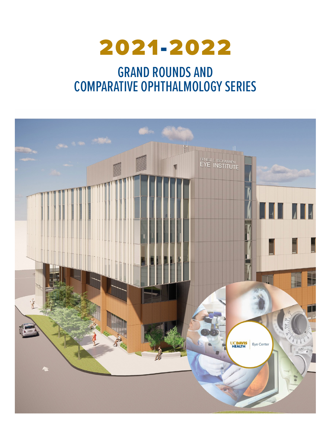

# GRAND ROUNDS AND COMPARATIVE OPHTHALMOLOGY SERIES

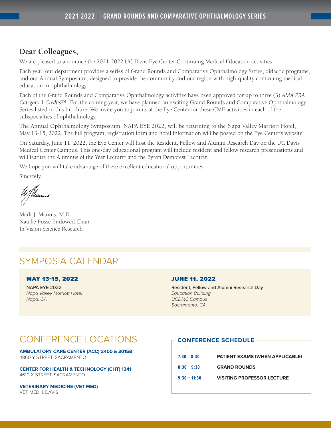## **Dear Colleagues,**

We are pleased to announce the 2021-2022 UC Davis Eye Center Continuing Medical Education activities.

Each year, our department provides a series of Grand Rounds and Comparative Ophthalmology Series, didactic programs, and our Annual Symposium, designed to provide the community and our region with high-quality continuing medical education in ophthalmology.

Each of the Grand Rounds and Comparative Ophthalmology activities have been approved for up to three (3) *AMA PRA Category 1 Credits™*. For the coming year, we have planned an exciting Grand Rounds and Comparative Ophthalmology Series listed in this brochure. We invite you to join us at the Eye Center for these CME activities in each of the subspecialties of ophthalmology.

The Annual Ophthalmology Symposium, NAPA EYE 2022, will be returning to the Napa Valley Marriott Hotel, May 13-15, 2022. The full program, registration form and hotel information will be posted on the Eye Center's website.

On Saturday, June 11, 2022, the Eye Center will host the Resident, Fellow and Alumni Research Day on the UC Davis Medical Center Campus. This one-day educational program will include resident and fellow research presentations and will feature the Alumnus of the Year Lecturer and the Byron Demorest Lecturer.

We hope you will take advantage of these excellent educational opportunities.

Sincerely,

U Thannis

Mark J. Mannis, M.D. Natalie Fosse Endowed Chair In Vision Science Research

## SYMPOSIA CALENDAR

## MAY 13-15, 2022

NAPA EYE 2022 *Napa Valley Marriott Hotel Napa, CA*

## JUNE 11, 2022

Resident, Fellow and Alumni Research Day *Education Building UCDMC Campus Sacramento, CA*

## CONFERENCE LOCATIONS

**AMBULATORY CARE CENTER (ACC) 2400 & 3015B** 4860 Y STREET, SACRAMENTO

**CENTER FOR HEALTH & TECHNOLOGY (CHT) 1341** 4610 X STREET, SACRAMENTO

**VETERINARY MEDICINE (VET MED)** VET MED II, DAVIS

## **CONFERENCE SCHEDULE**

| $7:30 - 8:30$  | <b>PATIENT EXAMS (WHEN APPLICABLE)</b> |
|----------------|----------------------------------------|
| $8:30 - 9:30$  | <b>GRAND ROUNDS</b>                    |
| $9:30 - 11:30$ | <b>VISITING PROFESSOR LECTURE</b>      |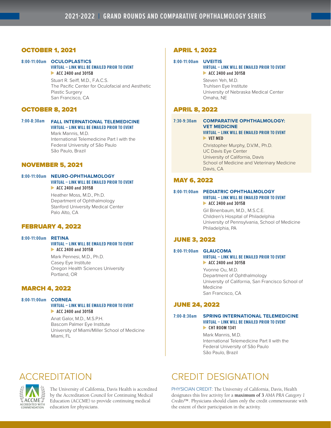## OCTOBER 1, 2021

## **8:00-11:00am OCULOPLASTICS**

**VIRTUAL – LINK WILL BE EMAILED PRIOR TO EVENT ACC 2400 and 3015B**

> Stuart R. Seiff, M.D., F.A.C.S. The Pacific Center for Oculofacial and Aesthetic Plastic Surgery San Francisco, CA

## OCTOBER 8, 2021

## **7:00-8:30am FALL INTERNATIONAL TELEMEDICINE VIRTUAL – LINK WILL BE EMAILED PRIOR TO EVENT** Mark Mannis, M.D.

International Telemedicine Part I with the Federal University of São Paulo São Paulo, Brazil

## NOVEMBER 5, 2021

#### **8:00-11:00am NEURO-OPHTHALMOLOGY VIRTUAL – LINK WILL BE EMAILED PRIOR TO EVENT ACC 2400 and 3015B**

Heather Moss, M.D., Ph.D. Department of Ophthalmology Stanford University Medical Center Palo Alto, CA

## FEBRUARY 4, 2022

#### **8:00-11:00am RETINA**

#### **VIRTUAL – LINK WILL BE EMAILED PRIOR TO EVENT ACC 2400 and 3015B**

Mark Pennesi, M.D., Ph.D. Casey Eye Institute Oregon Health Sciences University Portland, OR

## MARCH 4, 2022

#### **8:00-11:00am CORNEA**

**ACCME** ACCREDITED WITH<br>COMMENDATION

#### **VIRTUAL – LINK WILL BE EMAILED PRIOR TO EVENT ACC 2400 and 3015B**

Anat Galor, M.D., M.S.P.H. Bascom Palmer Eye Institute University of Miami/Miller School of Medicine Miami, FL

## APRIL 1, 2022

#### **8:00-11:00am UVEITIS**

#### **VIRTUAL – LINK WILL BE EMAILED PRIOR TO EVENT ACC 2400 and 3015B**

Steven Yeh, M.D. Truhlsen Eye Institute University of Nebraska Medical Center Omaha, NE

## APRIL 8, 2022

#### **7:30-9:30am COMPARATIVE OPHTHALMOLOGY: VET MEDICINE VIRTUAL – LINK WILL BE EMAILED PRIOR TO EVENT VET MED**

Christopher Murphy, D.V.M., Ph.D. UC Davis Eye Center University of California, Davis School of Medicine and Veterinary Medicine Davis, CA

## MAY 6, 2022

#### **8:00-11:00am PEDIATRIC OPHTHALMOLOGY VIRTUAL – LINK WILL BE EMAILED PRIOR TO EVENT ACC 2400 and 3015B**

Gil Binenbaum, M.D., M.S.C.E. Children's Hospital of Philadelphia University of Pennsylvania, School of Medicine Philadelphia, PA

## JUNE 3, 2022

#### **8:00-11:00am GLAUCOMA VIRTUAL – LINK WILL BE EMAILED PRIOR TO EVENT**

 **ACC 2400 and 3015B**

Yvonne Ou, M.D. Department of Ophthalmology University of California, San Francisco School of Medicine San Francisco, CA

## JUNE 24, 2022

#### **7:00-8:30am SPRING INTERNATIONAL TELEMEDICINE VIRTUAL – LINK WILL BE EMAILED PRIOR TO EVENT CHT ROOM 1341**

Mark Mannis, M.D. International Telemedicine Part II with the Federal University of São Paulo São Paulo, Brazil

## ACCREDITATION

The University of California, Davis Health is accredited by the Accreditation Council for Continuing Medical Education (ACCME) to provide continuing medical education for physicians.

## CREDIT DESIGNATION

PHYSICIAN CREDIT: The University of California, Davis, Health designates this live activity for a **maximum of 3** *AMA PRA Category 1 Credits™*. Physicians should claim only the credit commensurate with the extent of their participation in the activity.